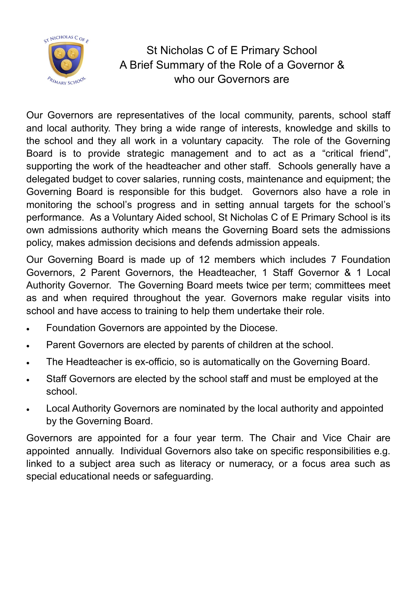

### St Nicholas C of E Primary School A Brief Summary of the Role of a Governor & who our Governors are

Our Governors are representatives of the local community, parents, school staff and local authority. They bring a wide range of interests, knowledge and skills to the school and they all work in a voluntary capacity. The role of the Governing Board is to provide strategic management and to act as a "critical friend", supporting the work of the headteacher and other staff. Schools generally have a delegated budget to cover salaries, running costs, maintenance and equipment; the Governing Board is responsible for this budget. Governors also have a role in monitoring the school's progress and in setting annual targets for the school's performance. As a Voluntary Aided school, St Nicholas C of E Primary School is its own admissions authority which means the Governing Board sets the admissions policy, makes admission decisions and defends admission appeals.

Our Governing Board is made up of 12 members which includes 7 Foundation Governors, 2 Parent Governors, the Headteacher, 1 Staff Governor & 1 Local Authority Governor. The Governing Board meets twice per term; committees meet as and when required throughout the year. Governors make regular visits into school and have access to training to help them undertake their role.

- Foundation Governors are appointed by the Diocese.
- Parent Governors are elected by parents of children at the school.
- The Headteacher is ex-officio, so is automatically on the Governing Board.
- Staff Governors are elected by the school staff and must be employed at the school.
- Local Authority Governors are nominated by the local authority and appointed by the Governing Board.

Governors are appointed for a four year term. The Chair and Vice Chair are appointed annually. Individual Governors also take on specific responsibilities e.g. linked to a subject area such as literacy or numeracy, or a focus area such as special educational needs or safeguarding.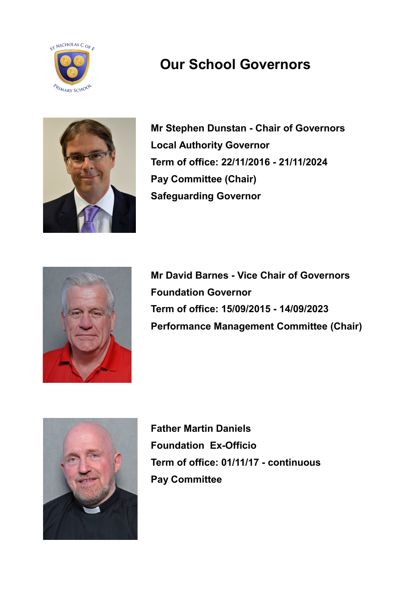



**Mr Stephen Dunstan - Chair of Governors Local Authority Governor Term of office: 22/11/2016 - 21/11/2024 Pay Committee (Chair) Safeguarding Governor**



**Mr David Barnes - Vice Chair of Governors Foundation Governor Term of office: 15/09/2015 - 14/09/2023 Performance Management Committee (Chair)**



**Father Martin Daniels Foundation Ex-Officio Term of office: 01/11/17 - continuous Pay Committee**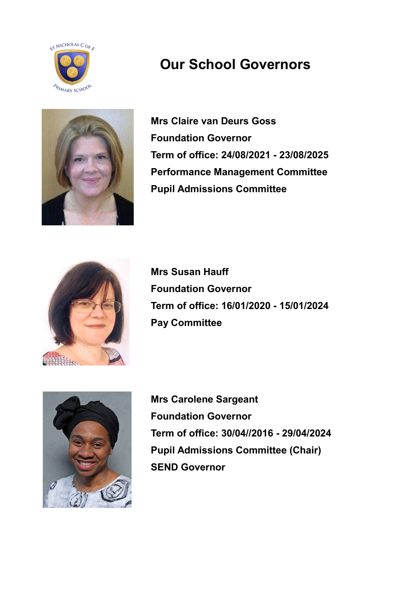



**Mrs Claire van Deurs Goss Foundation Governor Term of office: 24/08/2021 - 23/08/2025 Performance Management Committee Pupil Admissions Committee**



**Mrs Susan Hauff Foundation Governor Term of office: 16/01/2020 - 15/01/2024 Pay Committee**



**Mrs Carolene Sargeant Foundation Governor Term of office: 30/04//2016 - 29/04/2024 Pupil Admissions Committee (Chair) SEND Governor**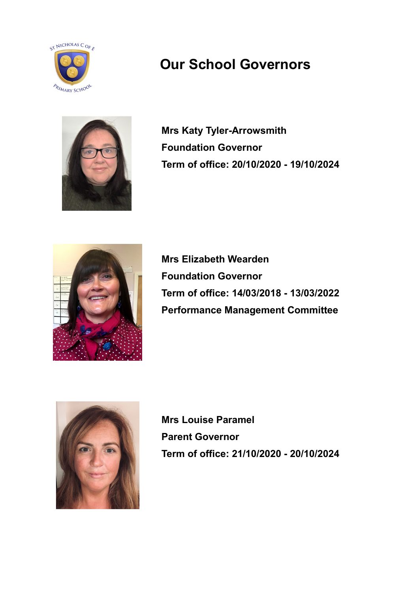



**Mrs Katy Tyler-Arrowsmith Foundation Governor Term of office: 20/10/2020 - 19/10/2024**



**Mrs Elizabeth Wearden Foundation Governor Term of office: 14/03/2018 - 13/03/2022 Performance Management Committee**



**Mrs Louise Paramel Parent Governor Term of office: 21/10/2020 - 20/10/2024**